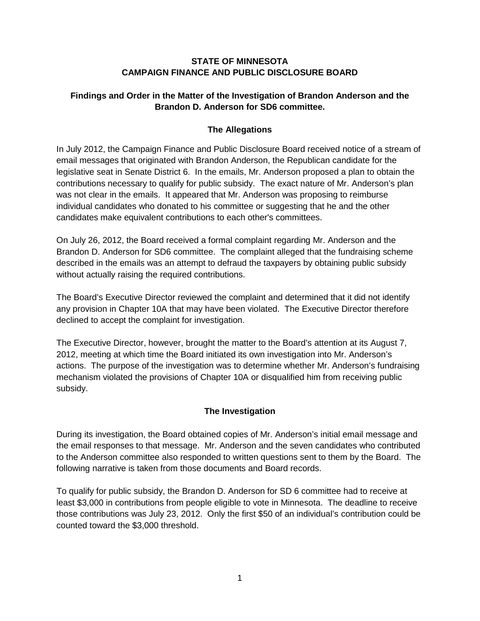### **STATE OF MINNESOTA CAMPAIGN FINANCE AND PUBLIC DISCLOSURE BOARD**

# **Findings and Order in the Matter of the Investigation of Brandon Anderson and the Brandon D. Anderson for SD6 committee.**

# **The Allegations**

In July 2012, the Campaign Finance and Public Disclosure Board received notice of a stream of email messages that originated with Brandon Anderson, the Republican candidate for the legislative seat in Senate District 6. In the emails, Mr. Anderson proposed a plan to obtain the contributions necessary to qualify for public subsidy. The exact nature of Mr. Anderson's plan was not clear in the emails. It appeared that Mr. Anderson was proposing to reimburse individual candidates who donated to his committee or suggesting that he and the other candidates make equivalent contributions to each other's committees.

On July 26, 2012, the Board received a formal complaint regarding Mr. Anderson and the Brandon D. Anderson for SD6 committee. The complaint alleged that the fundraising scheme described in the emails was an attempt to defraud the taxpayers by obtaining public subsidy without actually raising the required contributions.

The Board's Executive Director reviewed the complaint and determined that it did not identify any provision in Chapter 10A that may have been violated. The Executive Director therefore declined to accept the complaint for investigation.

The Executive Director, however, brought the matter to the Board's attention at its August 7, 2012, meeting at which time the Board initiated its own investigation into Mr. Anderson's actions. The purpose of the investigation was to determine whether Mr. Anderson's fundraising mechanism violated the provisions of Chapter 10A or disqualified him from receiving public subsidy.

# **The Investigation**

During its investigation, the Board obtained copies of Mr. Anderson's initial email message and the email responses to that message. Mr. Anderson and the seven candidates who contributed to the Anderson committee also responded to written questions sent to them by the Board. The following narrative is taken from those documents and Board records.

To qualify for public subsidy, the Brandon D. Anderson for SD 6 committee had to receive at least \$3,000 in contributions from people eligible to vote in Minnesota. The deadline to receive those contributions was July 23, 2012. Only the first \$50 of an individual's contribution could be counted toward the \$3,000 threshold.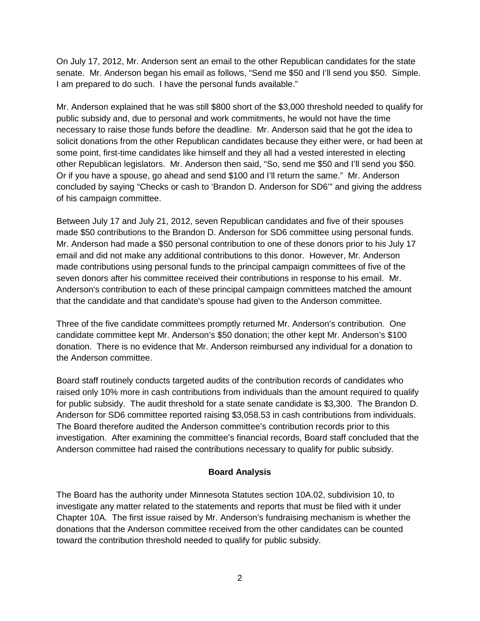On July 17, 2012, Mr. Anderson sent an email to the other Republican candidates for the state senate. Mr. Anderson began his email as follows, "Send me \$50 and I'll send you \$50. Simple. I am prepared to do such. I have the personal funds available."

Mr. Anderson explained that he was still \$800 short of the \$3,000 threshold needed to qualify for public subsidy and, due to personal and work commitments, he would not have the time necessary to raise those funds before the deadline. Mr. Anderson said that he got the idea to solicit donations from the other Republican candidates because they either were, or had been at some point, first-time candidates like himself and they all had a vested interested in electing other Republican legislators. Mr. Anderson then said, "So, send me \$50 and I'll send you \$50. Or if you have a spouse, go ahead and send \$100 and I'll return the same." Mr. Anderson concluded by saying "Checks or cash to 'Brandon D. Anderson for SD6'" and giving the address of his campaign committee.

Between July 17 and July 21, 2012, seven Republican candidates and five of their spouses made \$50 contributions to the Brandon D. Anderson for SD6 committee using personal funds. Mr. Anderson had made a \$50 personal contribution to one of these donors prior to his July 17 email and did not make any additional contributions to this donor. However, Mr. Anderson made contributions using personal funds to the principal campaign committees of five of the seven donors after his committee received their contributions in response to his email. Mr. Anderson's contribution to each of these principal campaign committees matched the amount that the candidate and that candidate's spouse had given to the Anderson committee.

Three of the five candidate committees promptly returned Mr. Anderson's contribution. One candidate committee kept Mr. Anderson's \$50 donation; the other kept Mr. Anderson's \$100 donation. There is no evidence that Mr. Anderson reimbursed any individual for a donation to the Anderson committee.

Board staff routinely conducts targeted audits of the contribution records of candidates who raised only 10% more in cash contributions from individuals than the amount required to qualify for public subsidy. The audit threshold for a state senate candidate is \$3,300. The Brandon D. Anderson for SD6 committee reported raising \$3,058.53 in cash contributions from individuals. The Board therefore audited the Anderson committee's contribution records prior to this investigation. After examining the committee's financial records, Board staff concluded that the Anderson committee had raised the contributions necessary to qualify for public subsidy.

#### **Board Analysis**

The Board has the authority under Minnesota Statutes section 10A.02, subdivision 10, to investigate any matter related to the statements and reports that must be filed with it under Chapter 10A. The first issue raised by Mr. Anderson's fundraising mechanism is whether the donations that the Anderson committee received from the other candidates can be counted toward the contribution threshold needed to qualify for public subsidy.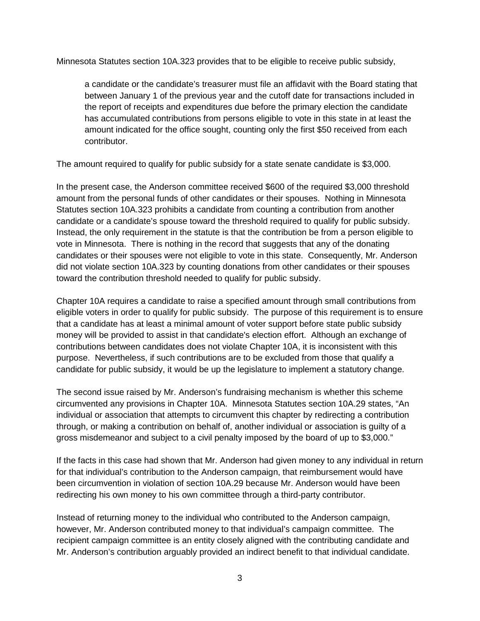Minnesota Statutes section 10A.323 provides that to be eligible to receive public subsidy,

a candidate or the candidate's treasurer must file an affidavit with the Board stating that between January 1 of the previous year and the cutoff date for transactions included in the report of receipts and expenditures due before the primary election the candidate has accumulated contributions from persons eligible to vote in this state in at least the amount indicated for the office sought, counting only the first \$50 received from each contributor.

The amount required to qualify for public subsidy for a state senate candidate is \$3,000.

In the present case, the Anderson committee received \$600 of the required \$3,000 threshold amount from the personal funds of other candidates or their spouses. Nothing in Minnesota Statutes section 10A.323 prohibits a candidate from counting a contribution from another candidate or a candidate's spouse toward the threshold required to qualify for public subsidy. Instead, the only requirement in the statute is that the contribution be from a person eligible to vote in Minnesota. There is nothing in the record that suggests that any of the donating candidates or their spouses were not eligible to vote in this state. Consequently, Mr. Anderson did not violate section 10A.323 by counting donations from other candidates or their spouses toward the contribution threshold needed to qualify for public subsidy.

Chapter 10A requires a candidate to raise a specified amount through small contributions from eligible voters in order to qualify for public subsidy. The purpose of this requirement is to ensure that a candidate has at least a minimal amount of voter support before state public subsidy money will be provided to assist in that candidate's election effort. Although an exchange of contributions between candidates does not violate Chapter 10A, it is inconsistent with this purpose. Nevertheless, if such contributions are to be excluded from those that qualify a candidate for public subsidy, it would be up the legislature to implement a statutory change.

The second issue raised by Mr. Anderson's fundraising mechanism is whether this scheme circumvented any provisions in Chapter 10A. Minnesota Statutes section 10A.29 states, "An individual or association that attempts to circumvent this chapter by redirecting a contribution through, or making a contribution on behalf of, another individual or association is guilty of a gross misdemeanor and subject to a civil penalty imposed by the board of up to \$3,000."

If the facts in this case had shown that Mr. Anderson had given money to any individual in return for that individual's contribution to the Anderson campaign, that reimbursement would have been circumvention in violation of section 10A.29 because Mr. Anderson would have been redirecting his own money to his own committee through a third-party contributor.

Instead of returning money to the individual who contributed to the Anderson campaign, however, Mr. Anderson contributed money to that individual's campaign committee. The recipient campaign committee is an entity closely aligned with the contributing candidate and Mr. Anderson's contribution arguably provided an indirect benefit to that individual candidate.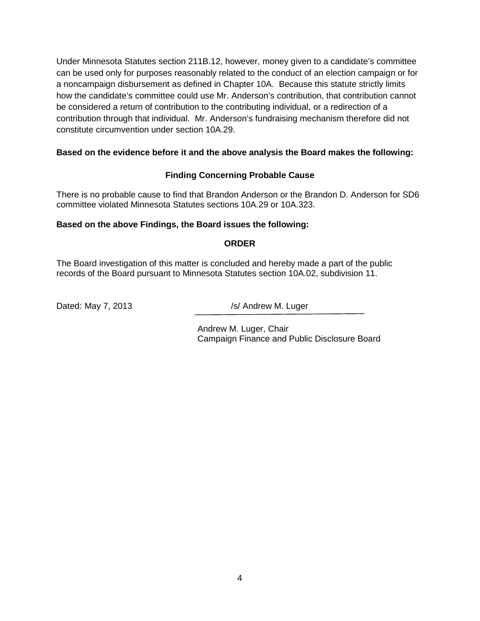Under Minnesota Statutes section 211B.12, however, money given to a candidate's committee can be used only for purposes reasonably related to the conduct of an election campaign or for a noncampaign disbursement as defined in Chapter 10A. Because this statute strictly limits how the candidate's committee could use Mr. Anderson's contribution, that contribution cannot be considered a return of contribution to the contributing individual, or a redirection of a contribution through that individual. Mr. Anderson's fundraising mechanism therefore did not constitute circumvention under section 10A.29.

### **Based on the evidence before it and the above analysis the Board makes the following:**

### **Finding Concerning Probable Cause**

There is no probable cause to find that Brandon Anderson or the Brandon D. Anderson for SD6 committee violated Minnesota Statutes sections 10A.29 or 10A.323.

#### **Based on the above Findings, the Board issues the following:**

#### **ORDER**

The Board investigation of this matter is concluded and hereby made a part of the public records of the Board pursuant to Minnesota Statutes section 10A.02, subdivision 11.

Dated: May 7, 2013 /s/ Andrew M. Luger

Andrew M. Luger, Chair Campaign Finance and Public Disclosure Board